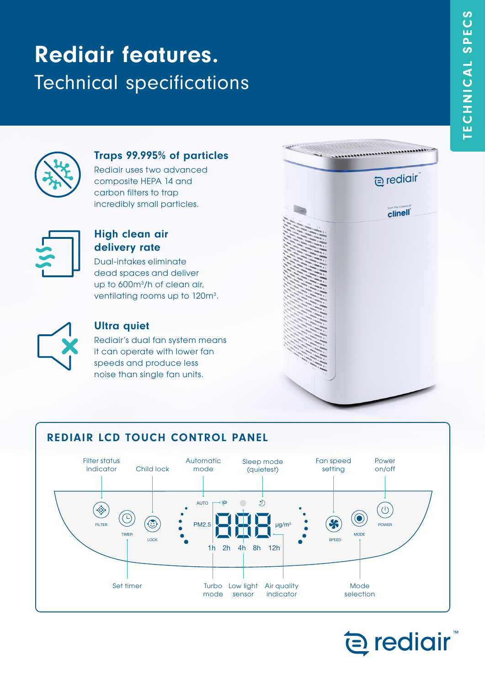# Rediair features. Technical specifications



## Traps 99.995% of particles

Rediair uses two advanced composite HEPA 14 and carbon filters to trap incredibly small particles.



#### High clean air delivery rate

Dual-intakes eliminate dead spaces and deliver up to 600m3 /h of clean air, ventilating rooms up to 120m<sup>3</sup>.



#### Ultra quiet

Rediair's dual fan system means it can operate with lower fan speeds and produce less noise than single fan units.



# REDIAIR LCD TOUCH CONTROL PANEL